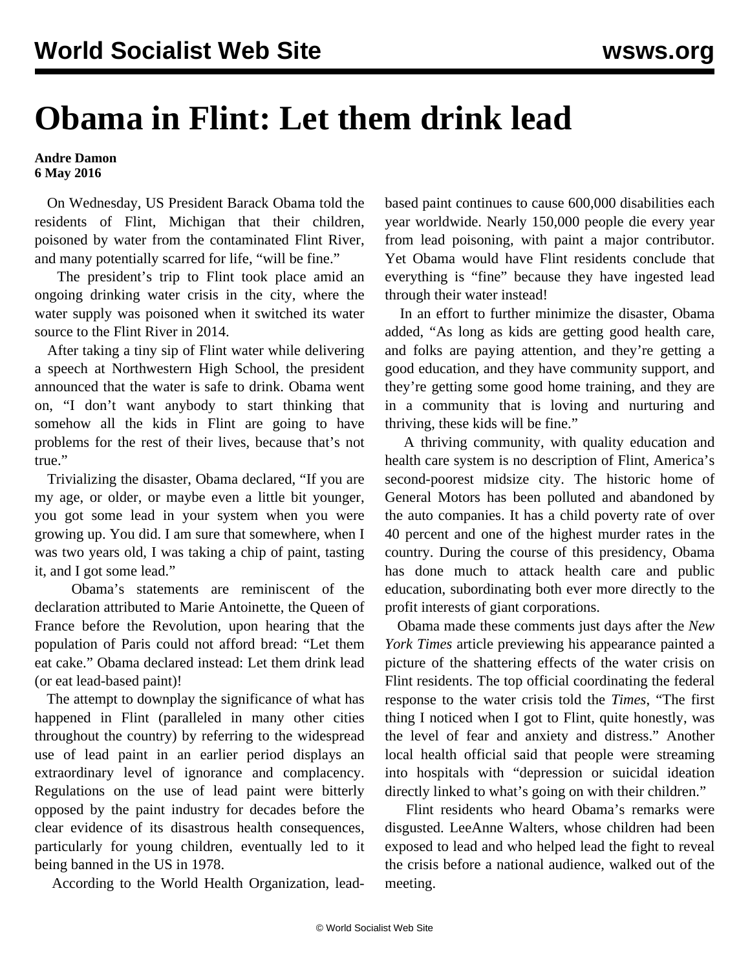## **Obama in Flint: Let them drink lead**

**Andre Damon 6 May 2016**

 On Wednesday, US President Barack Obama told the residents of Flint, Michigan that their children, poisoned by water from the contaminated Flint River, and many potentially scarred for life, "will be fine."

 The president's trip to Flint took place amid an ongoing drinking water crisis in the city, where the water supply was poisoned when it switched its water source to the Flint River in 2014.

 After taking a tiny sip of Flint water while delivering a speech at Northwestern High School, the president announced that the water is safe to drink. Obama went on, "I don't want anybody to start thinking that somehow all the kids in Flint are going to have problems for the rest of their lives, because that's not true."

 Trivializing the disaster, Obama declared, "If you are my age, or older, or maybe even a little bit younger, you got some lead in your system when you were growing up. You did. I am sure that somewhere, when I was two years old, I was taking a chip of paint, tasting it, and I got some lead."

 Obama's statements are reminiscent of the declaration attributed to Marie Antoinette, the Queen of France before the Revolution, upon hearing that the population of Paris could not afford bread: "Let them eat cake." Obama declared instead: Let them drink lead (or eat lead-based paint)!

 The attempt to downplay the significance of what has happened in Flint (paralleled in many other cities throughout the country) by referring to the widespread use of lead paint in an earlier period displays an extraordinary level of ignorance and complacency. Regulations on the use of lead paint were bitterly opposed by the paint industry for decades before the clear evidence of its disastrous health consequences, particularly for young children, eventually led to it being banned in the US in 1978.

According to the World Health Organization, lead-

based paint continues to cause 600,000 disabilities each year worldwide. Nearly 150,000 people die every year from lead poisoning, with paint a major contributor. Yet Obama would have Flint residents conclude that everything is "fine" because they have ingested lead through their water instead!

 In an effort to further minimize the disaster, Obama added, "As long as kids are getting good health care, and folks are paying attention, and they're getting a good education, and they have community support, and they're getting some good home training, and they are in a community that is loving and nurturing and thriving, these kids will be fine."

 A thriving community, with quality education and health care system is no description of Flint, America's second-poorest midsize city. The historic home of General Motors has been polluted and abandoned by the auto companies. It has a child poverty rate of over 40 percent and one of the highest murder rates in the country. During the course of this presidency, Obama has done much to attack health care and public education, subordinating both ever more directly to the profit interests of giant corporations.

 Obama made these comments just days after the *New York Times* article previewing his appearance painted a picture of the shattering effects of the water crisis on Flint residents. The top official coordinating the federal response to the water crisis told the *Times*, "The first thing I noticed when I got to Flint, quite honestly, was the level of fear and anxiety and distress." Another local health official said that people were streaming into hospitals with "depression or suicidal ideation directly linked to what's going on with their children."

 Flint residents who heard Obama's remarks were disgusted. LeeAnne Walters, whose children had been exposed to lead and who helped lead the fight to reveal the crisis before a national audience, walked out of the meeting.